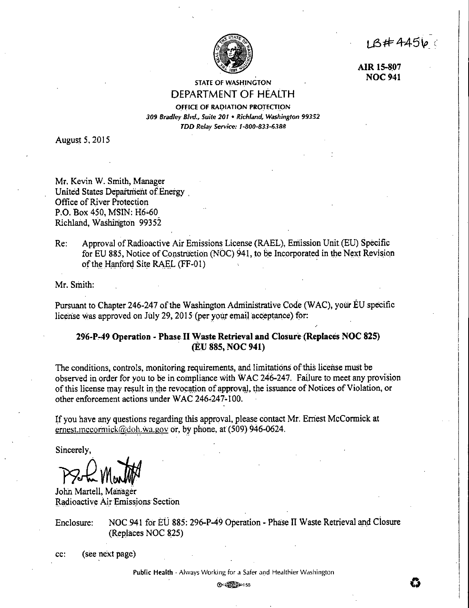$18#44560$ 



**AIR 15-8\_07 NOC941** 

STATE OF WASHINGTON DEPARTMENT OF **HEALTH** 

# OFFICE OF RADIATION PROTECTION *309 Bradley Blvd., Suite 20* I • *Richland, Washington 99352*

*TDD Relay Service: /.lJ00-833-6388* 

August 5, 2015

Mr. Kevin W. Smith, Manager United States Department of Energy . Office of River Protection P.O. Box 450, MSIN: H6-60 Richland, Washington 99352

Re: Approval of Radioactive Air Emissions License (RAEL), Emission Unit(EU) Specific for EU 885, Notice of Construction (NOC) 941, to be Incorporated in the Next Revision of the Hanford Site RAEL (FF-01)

Mr. Smith:

Pursuant to Chapter 246-247 of the Washington Administrative Code (WAC), your EU specific license was approved on July 29, 2015 (per your email acceptance) for:

# **296-Pa49 Operation - Phase II Waste Retrieval and Closure (Replaces NOC 825)**  . **(EU 885, NOC 941)**

The conditions, controls, monitoring requirements, and limitations of this license must be observed in order for you to be in compliance with WAC 246-247. Failure to meet any provision of this license may result in the revocation of approval, the issuance of Notices of Violation, or other enforcement actions under WAC 246,247-100.

If you have any questions regarding this approval, please contact Mr. Ernest McCormick at ernest.mccormick@doh.wa.gov or, by phone, at (509) 946-0624.

Sincerely,

PS-L Marth

John Martell, Manager Radioactive Air Emissions Section

Enclosure: NOC 941 for EU 885: 296-P-49 Operation - Phase II Waste Retrieval and Closure (Replaces NOC 825)

cc: (see next page)

**Public Health** *\** **Always Working for a Safer and Healthier Washington**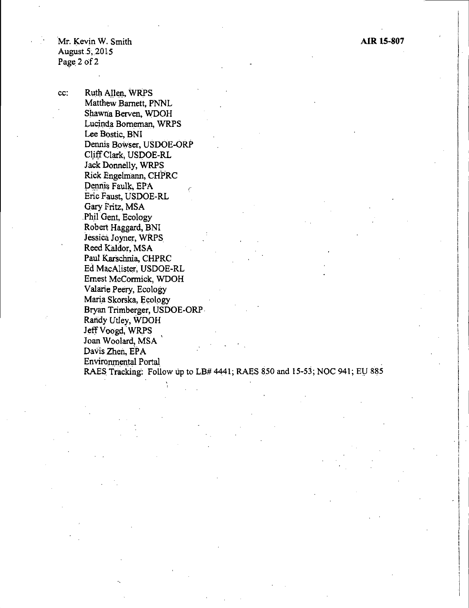Mr. Kevin W. Smith August.5, 2015 Page 2 of 2

cc: Ruth Allen, WRPS Matthew Barnett, PNNL Shawna Berven, WDOH Lucinda Borneman, WRPS Lee Bostic, BNI Dennis Bowser, USDOE-ORP Cl\_iffClark, USDOE-RL Jack Donnelly, WRPS Rick Engelmann, CHPRC Dennis Faulk, EPA Eric Faust, USDOE-RL Gary Fritz, MSA .Phil Gent, Ecology Robert Haggard, BNI Jessica Joyner, WRPS Reed Kaldor, MSA Paul Karschnia, CHPRC Ed MacA!ister; USDOE-RL Ernest McCormick, WDOH Valarie Peery, Ecology Maria Skorska, Ecology Bryan Trimberger, USDOE-ORP Randy Utley, WDOH Jeff Voogd, WRPS Joan Woolard, MSA' Davis Zhen, EPA Environmental Portal . RAES Tracking: Follow up to LB# 4441; RAES 850 and 15-53; NOC 941; EU 885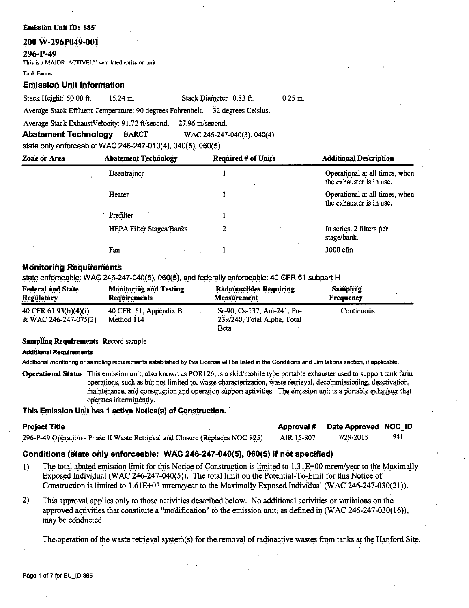### **Emission Unit ID: 885**

## 200 W-296P049-001

## 296-P-49

This is a MAJOR, ACTIVELY ventilated emission unit.

### **Tank Farms**

## **Emission Unit Information**

Stack Height: 50.00 ft.  $15.24$  m.

Stack Diameter 0.83 ft.  $0.25$  m. Average Stack Effluent Temperature: 90 degrees Fahrenheit. 32 degrees Celsius.

Average Stack ExhaustVelocity: 91.72 ft/second. 27.96 m/second,

WAC.246-247-040(3), 040(4) **Abatement Technology BARCT** 

state only enforceable: WAC 246-247-010(4), 040(5), 060(5).

| <b>Zone or Area</b> | <b>Abatement Technology</b>     | <b>Required # of Units</b> | <b>Additional Description</b>                              |
|---------------------|---------------------------------|----------------------------|------------------------------------------------------------|
|                     | Deentrainer                     |                            | Operational at all times, when<br>the exhauster is in use. |
|                     | Heater                          |                            | Operational at all times, when<br>the exhauster is in use. |
|                     | Prefilter                       |                            |                                                            |
|                     | <b>HEPA Filter Stages/Banks</b> | 2                          | In series. 2 filters per<br>stage/bank.                    |
|                     | Fan                             |                            | 3000 cfm                                                   |

## **Monitoring Requirements**

state enforceable: WAC 246-247-040(5), 060(5), and federally enforceable: 40 CFR 61 subpart H

| <b>Federal and State</b>                      | <b>Monitoring and Testing</b>       | <b>Radionuclides Requiring</b>                                    | <b>Sampling</b> |
|-----------------------------------------------|-------------------------------------|-------------------------------------------------------------------|-----------------|
| <b>Regulatory</b>                             | Requirements                        | <b>Measurement</b>                                                | Frequency       |
| 40 CFR 61.93(b)(4)(i)<br>& WAC 246-247-075(2) | 40 CFR 61, Appendix B<br>Method 114 | Sr-90, Cs-137, Am-241, Pu-<br>239/240, Total Alpha, Total<br>Beta | Continuous      |

## Sampling Requirements Record sample

### **Additional Requirements**

Additional monitoring or sampling requirements established by this License will be listed in the Conditions and Limitations section, if applicable.

Operational Status This emission unit, also known as POR126, is a skid/mobile type portable exhauster used to support tank farm operations, such as but not limited to, waste characterization, waste retrieval, decommissioning, deactivation, maintenance, and construction and operation support activities. The emission unit is a portable exhauster that operates intermittently.

## This Emission Unit has 1 active Notice(s) of Construction.

| <b>Project Title</b>                                                         |            | Approval # Date Approved NOC_ID |     |
|------------------------------------------------------------------------------|------------|---------------------------------|-----|
| 296-P-49 Operation - Phase II Waste Retrieval and Closure (Replaces NOC 825) | AIR 15-807 | 7/29/2015                       | 941 |

## Conditions (state only enforceable: WAC 246-247-040(5), 060(5) if not specified)

- The total abated emission limit for this Notice of Construction is limited to  $1.31E+00$  mrem/year to the Maximally  $1)$ Exposed Individual (WAC 246-247-040(5)). The total limit on the Potential-To-Emit for this Notice of Construction is limited to 1.61E+03 mrem/year to the Maximally Exposed Individual (WAC 246-247-030(21)).
- $2)$ This approval applies only to those activities described below. No additional activities or variations on the approved activities that constitute a "modification" to the emission unit, as defined in  $(WAC 246-247-030(16))$ , may be conducted.

The operation of the waste retrieval system(s) for the removal of radioactive wastes from tanks at the Hanford Site.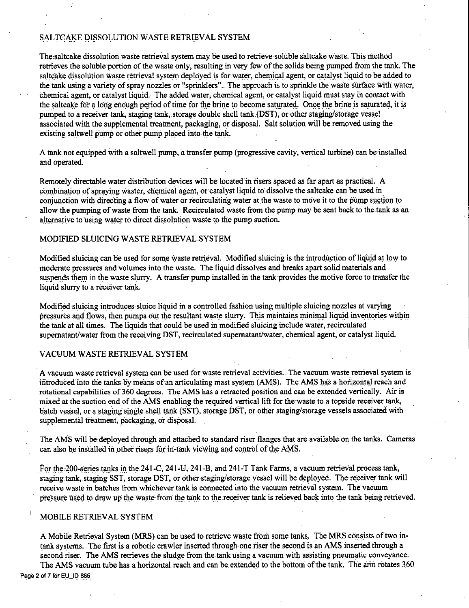## SALTCAKE DISSOLUTION WASTE RETRIEVAL SYSTEM

The saltcake dissolution waste retrieval system may be used to retrieve soluble saltcake waste. This method retrieves the soluble portion of the waste only, resulting in very few of the solids being pumped from the tank. The saltcake dissolution waste retrieval system deployed is for water, chemical agent, or catalyst liquid to be added to the tank using a variety of spray nozzles or "sprinklers". The approach is to sprinkle the waste surface with water, chemical agent, or catalyst liquid. The added water, chemical agent, or catalyst liquid must stay in contact with the saltcake for a long enough period of time for the brine to become saturated. Once the brine is saturated, it is pumped to a receiver tank, staging tank, storage double shell tank (DST), or other staging/storage vessel associated with the supplemental treatment, packaging, or disposal. Salt solution will be removed using the existing saltwell pump or other pump placed into the tank.

A tank not equipped with a saltwell pump, a transfer pump (progressive cavity, vertical turbine) can be installed and operated.

Remotely directablewater distribution devices will be located in risers spaced as far apart as practical. A. combination of spraying waster, chemical agent, or catalyst liquid to dissolve the saltcake can be used in conjunction with directing a flow of water or recirculating water at the waste to move it to the pump suction to allow the pumping of waste from the tank. Recirculated waste from the pump may be sent back to the.tank as an alternative to using water to direct dissolution waste to the pump suction.

## MODIFIED SLUICING WASTE RETRIEVAL SYSTEM

Modified sluicing can be used for some waste retrieval. Modified sluicing is the introduction of liquid at low to moderate pressures and volumes into the waste. The liquid dissolves and breaks apart solid materials and suspends them in the waste slurry. A transfer pump installed in the tank provides the motive force to transfer the liquid slurry to a receiver tank.

Modified sluicing introduces sluice liquid in a controlled fashion using multiple sluicing nozzles at varying pressures and flows, then pumps out the resultant waste slurry. This maintains minimal liquid inventories within the tank at all times. The liquids that could be used fu modified sluicing fuclude water, recirculated supernatant/water from the receiving DST, recirculated supernatant/water, chemical agent, or catalyst liquid.

## VACUUM WASTE RETRIEVAL SYSTEM

A vacuum waste retrieval system can be used for waste retrieval activities. The vacuum waste retrieval system is introduced into the tanks by means of an articulating mast system (AMS). The AMS has a horizontal reach and rotational capabilities of 360 degrees. The AMS has a retracted position and can be extended vertically. Air is mixed at the suction end of the AMS enabling the required vertical lift for the waste to a topside receiver tank, batch vessel, or a staging single shell tank (SST), storage DST, or other staging/storage vessels associated with supplemental treatment, packaging, or disposal.

The AMS will be deployed through and attached to standard riser flanges that are available on the tanks. Cameras can also be installed in other risers for in-tank viewing and control of the AMS.

For the 200-series tanks in the 241-C, 241-U, 241-B, and 241-T Tank Farms, a vacuum retrieval process tank, staging tank, staging SST, storage DST, or other staging/storage vessel will be deployed. The receiver tank will receive waste in batches from whichever tank is connected into the vacuum retrieval system. The vacuum pressure used to draw up the waste from the tank to the receiver tank is relieved back into the tank being retrieved.

## MOBILE RETRIEVAL SYSTEM

A Mobile Retrieval System (MRS) can be used to retrieve waste from some tanks. The MRS consists of two intank systems. The first is a robotic crawler inserted through- one riser the second is an AMS inserted through a second riser. The AMS retrieves the sludge from the tank using a vacuum with assisting pneumatic conveyance. The AMS vacuum tube has a horizontal reach and can be extended to the bottom of the tank. The arm rotates 360

Page 2 of 7 for EU\_ID 885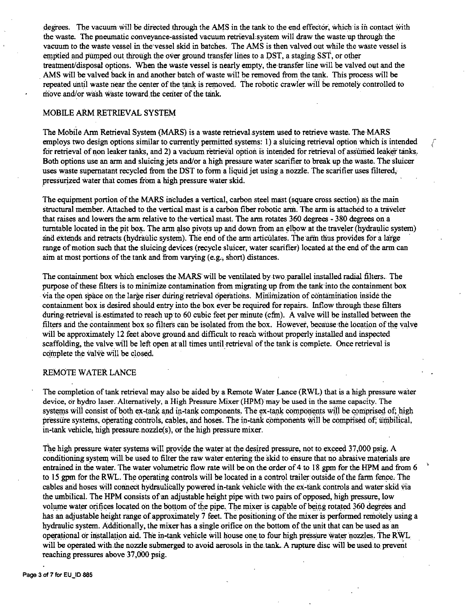degrees. The vacuum will be directed through the AMS in the tank to the end effector, which is in contact with the waste. The pneumatic conveyance-assisted vacuum retrieval system will draw the waste up through the vacuum to the waste vessel in the'vessel skid in batches. The AMS is then valved out while the waste vessel is emptied and pumped out through the over ground transfer lines to a DST, a staging SST, or other treatment/disposal options. When the waste vesselis nearly empty, the transfer line will be valved out and the AMS will be valved back in and another batch of waste will be removed from the tank. This process will be repeated until waste near the center of the tank is removed. The robotic crawler will be remotely controlled to move and/or wash waste toward the center of the tank.

## MOBILE ARM RETRIEVAL SYSTEM

The Mobile Ann Retrieval System (MARS) is a waste retrievalsystem used to retrieve waste. The·MARS employs rwo design options similar to currently permitted systems: 1) a sluicing retrieval option which is intended for retrieval of non leaker tanks, and 2) a vacuum retrieval option is intended for retrieval of assumed leaker tanks.- Both options use an arm and sluicing jets and/or a high pressure water scarifier to break up the waste. The sluicer uses waste supernatant recycled from the DST to form a liquid jet using a nozzle. The scarifier uses filtered, pressurized water that comes from a high pressure water skid.

*r*  (

The equipment portion of the MARS includes a vertical, carbon steel mast (square cross section) as the main structural member. Attached to the vertical mast is a carbon fiber robotic arm. The arm is attached to a traveler that raises and lowers the arm relative to the vertical mast. The arm rotates 360 degrees - 380 degrees on a turntable located in the pit box. The arm also pivots up and down from an elbow at the traveler (hydraulic system) and extends and retracts (hydraulic system). The end of the arm articulates. The arm thus provides for a large range of motion such that the sluicing devices (recycle sluicer, water scarifier) located at the end of the arm can aim at most portions of the tank and from varying (e.g., short) distances.

The containment box which encloses the MARS will be ventilated by two parallel installed radial filters. The purpose of these filters is to minimize contamination from migrating up from the tank-into the containment box via the open space on the large riser during retrieval operations. Minimization of contamination inside the containment box is desired should entry into the box ever be required for repairs .. Inflow through these filters during retrieval is estimated to reach up to 60 cubic feet per minute (cfm). A valve will be installed between the filters and the containment box so filters can be isolated from the box. However, because the location of the valve will be approximately 12 feet above ground and difficult to reach without properly installed and inspected scaffolding, the valve will be left open at all times until retrieval of the tank is complete. Once retrieval is complete the valve will be closed.

## REMOTE WATER LANCE

The completion of tank retrieval may also be aided by a Remote Water Lance (RWL) that is a high pressure water device, or hydro laser. Alternatively, a High Pressure Mixer (HPM) may be used in the same capacity. The systems will consist of both ex-tank and in-tank components. The ex-tank components will be comprised of; high pressure systems, operating controls, cables, and hoses. The in-tank components will be comprised of; umbilical, in-tank vehicle, high pressure  $nozzle(s)$ , or the high pressure mixer.

The high pressure water systems will provide the water at the desired pressure, not to exceed 37,000 psig. A conditioning system will.be used to filter the raw water entering the skid to ensure that no abrasive materials are entrained in the water. The water volumetric flow rate will be on the order of 4 to 18 gpm for the HPM and from 6 to 15 gpm for the RWL. The operating controls will be located in a control trailer outside of the farm fence. The cables and hoses will connect hydraulically powered in-tank vehicle with the ex-tank controls and water skid via the umbilical. The HPM consists of an adjustable height pipe with two pairs of opposed, high pressure, low volume water orifices located on the bottom of the pipe. The mixer is capable of being rotated 360 degrees and has an adjustable height range of approximately 7 feet. The positioning of the mixer is performed remotely using a hydraulic system. Additionally, the mixer has a single orifice on the bottom of the unit that can be used as an operational or installation aid. The in-tank vehicle will house one to four high pressure water nozzles. The RWL will be operated with the nozzle submerged to avoid aerosols in the tank. A rupture disc will be used to prevent reaching pressures above 37,000 psig.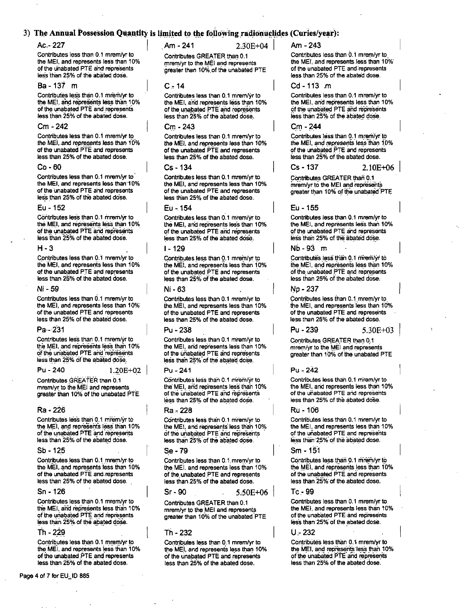## 3) The Annual Possession Quantity is limited to the following radionuclides (Curies/year):

### $Ac - 227$

Contributes less than 0.1 mrem/yr to the MEI, and represents less than 10% of the unabated PTE and represents less than 25% of the abated dose.

### $Ba - 137$  m

Contributes less than 0.1 mrem/yr to the MEI, and represents less than 10% of the unabated PTE and represents less than 25% of the abated dose.

### $Cm - 242$

Contributes less than 0.1 mrem/yr to the MEI, and represents less than 10% of the unabated PTE and represents less than 25% of the abated dose.

### $Co - 60$

Contributes less than 0.1 mrem/vr to the MEI, and represents less than 10% of the unabated PTE and represents less than 25% of the abated dose.

#### Fu - 152

Contributes less than 0.1 mrem/vr to the MEI, and represents less than 10% of the unabated PTE and represents less than 25% of the abated dose.

### $H - 3$

Contributes less than 0.1 mrem/yr to the MEI, and represents less than 10% of the unabated PTE and represents less than 25% of the abated dose.

#### Ni - 59

Contributes less than 0.1 mrem/yr to the MEI, and represents less than 10% of the unabated PTE and represents less than 25% of the abated dose.

#### Pa - 231

Contributes less than 0.1 mrem/vr to the MEI, and represents less than 10% of the unabated PTE and represents less than 25% of the abated dose.

#### Pu - 240

 $1.20E + 02$ 

Contributes GREATER than 0.1 mrem/yr to the MEI and represents greater than 10% of the unabated PTE

### Ra - 226

Contributes less than 0.1 mrem/vr to the MEI, and represents less than 10% of the unabated PTE and represents less than 25% of the abated dose.

#### Sh - 125

Contributes less than 0.1 mrem/yr to the MEI, and represents less than 10% of the unabated PTE and represents less than 25% of the abated dose.

#### Sn - 126

Contributes less than 0.1 mrem/yr to the MEI, and represents less than 10% of the unabated PTE and represents less than 25% of the abated dose.

#### Th - 229

Contributes less than 0.1 mrem/vr to the MEI, and represents less than 10% of the unabated PTE and represents less than 25% of the abated dose.

Am - 241

Am - 243

Contributes GREATER than 0.1 mrem/yr to the MEI and represents greater than 10% of the unabated PTE

### $C - 14$

Contributes less than 0.1 mrem/yr to the MEI, and represents less than 10% of the unabated PTE and represents less than 25% of the abated dose.

## $Cm - 243$

Contributes less than 0.1 mrem/yr to the MEI, and represents less than 10% of the unabated PTE and represents less than 25% of the abated dose.

## Cs - 134

Contributes less than 0.1 mrem/vr to the MEI, and represents less than 10% of the unabated PTE and represents less than 25% of the abated dose.

### Eu - 154

Contributes less than 0.1 mrem/vr to the MEI, and represents less than 10% of the unabated PTE and represents less than 25% of the abated dose.

### $1 - 129$

Contributes less than 0.1 mrem/yr to the MEI, and represents less than 10% of the unabated PTE and represents less than 25% of the abated dose.

#### Ni - 63

Contributes less than 0.1 mrem/yr to the MEI, and represents less than 10% of the unabated PTE and represents less than 25% of the abated dose.

### Pu - 238

Contributes less than 0.1 mrem/yr to the MEI, and represents less than 10% of the unabated PTE and represents less than 25% of the abated dose.

#### Pu - 241

Contributes less than 0.1 mrem/vr to the MEI, and represents less than 10% of the unabated PTE and represents less than 25% of the abated dose.

### Ra - 228

Contributes less than 0.1 mrem/yr to the MEI, and represents less than 10% of the unabated PTE and represents less than 25% of the abated dose.

#### Se - 79

Contributes less than 0.1 mrem/yr to the MEI, and represents less than 10% of the unabated PTE and represents less than 25% of the abated dose.

 $Sr - 90$  $5.50E + 06$ 

Contributes GREATER than 0.1 mrem/yr to the MEI and represents greater than 10% of the unabated PTE

### Th - 232

Contributes less than 0.1 mrem/yr to the MEI, and represents less than 10% of the unabated PTE and represents less than 25% of the abated dose.

Contributes less than 0.1 mrem/yr to

the MEI, and represents less than 10% of the unabated PTE and represents less than 25% of the abated dose.

### Cd - 113 m

Contributes less than 0.1 mrem/vr to the MEI, and represents less than 10% of the unabated PTE and represents less than 25% of the abated dose.

### Cm - 244

Contributes less than 0.1 mrem/yr to the MEI, and represents less than 10% of the unabated PTE and represents less than 25% of the abated dose.

 $Cs - 137$ 

Contributes GREATER than 0.1 mrem/yr to the MEI and represents greater than 10% of the unabated PTE

 $2.10F + 06$ 

 $5.30E + 03$ 

### $F_{II}$  = 155

Contributes less than 0.1 mrem/vr to the MEI, and represents less than 10% of the unabated PTE and represents less than 25% of the abated dose.

### $Nh-93$  m

Contributes less than 0.1 mrem/yr to the MEI, and represents less than 10% of the unabated PTE and represents less than 25% of the abated dose.

### No - 237

 $Pu - 239$ 

Contributes less than 0.1 mrem/yr to the MEI, and represents less than 10% of the unabated PTE and represents less than 25% of the abated dose.

Contributes GREATER than 0.1 mrem/vr to the MEI and represents greater than 10% of the unabated PTE

### $Pu - 242$

Contributes less than 0.1 mrem/vr to the MEI, and represents less than 10% of the unabated PTE and represents less than 25% of the abated dose.

#### Ru - 106

Contributes less than 0.1 mrem/vr to the MEI, and represents less than 10% of the unabated PTE and represents less than 25% of the abated dose.

#### Sm - 151

Contributes less than 0.1 mrem/yr to the MEI, and represents less than 10% of the unabated PTE and represents less than 25% of the abated dose.

### Tc-99

Contributes less than 0.1 mrem/yr to the MEI, and represents less than 10% of the unabated PTE and represents less than 25% of the abated dose.

#### $U - 232$

Contributes less than 0.1 mrem/vr to the MEI, and represents less than 10% of the unabated PTE and represents less than 25% of the abated dose.

 $2.30E + 04$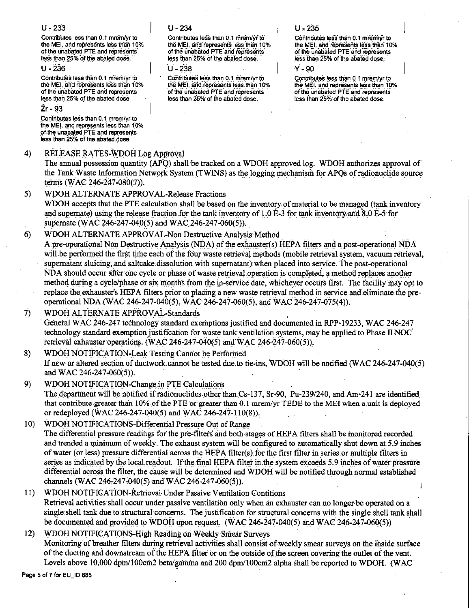## $U - 233$

Contributes less than 0.1 mrem/vr to the MEI, and represents less than 10% of the unabated PTE and represents less than 25% of the abated dose.

 $U - 236$ 

Contributes less than 0.1 mrem/vr.to the MEI, and represents less than 10% of the unabated PTE and represents less than 25% of the abated dose.

## Zr - 93

Contributes less than 0.1 mrem/yr.to the MEI, and represents less than 10% of the unabated PTE and represents less than 25% of the abated dose.

#### $\boldsymbol{A}$ RELEASE RATES-WDOH Log Approval

 $U - 234$ 

Contributes less than 0.1 mrem/yr to the MEI, and represents less than 10% of the unabated PTE and represents less than 25% of the abated dose.

 $11 - 238$ 

Contributes less than 0.1 mrem/yr to the MEI, and represents less than 10% of the unabated PTE and represents less than 25% of the abated dose.

## $U - 235$

Contributes less than 0.1 mrem/vr to the MEI, and represents less than 10% of the unabated PTE and represents less than 25% of the abated dose.

**v** - an

Contributes less than 0.1 mrem/yr to the MEI, and represents less than 10% of the unabated PTE and represents less than 25% of the abated dose.

The annual possession quantity (APO) shall be tracked on a WDOH approved log. WDOH authorizes approval of the Tank Waste Information Network System (TWINS) as the logging mechanism for APOs of radionuclide source terms (WAC 246-247-080(7)).

 $5)$ WDOH ALTERNATE APPROVAL-Release Fractions

WDOH accepts that the PTE calculation shall be based on the inventory of material to be managed (tank inventory and supernate) using the release fraction for the tank inventory of 1.0 E-3 for tank inventory and 8.0 E-5 for supernate (WAC 246-247-040(5) and WAC 246-247-060(5)).

#### $6)$ WDOH ALTERNATE APPROVAL-Non Destructive Analysis Method

A pre-operational Non Destructive Analysis (NDA) of the exhauster(s) HEPA filters and a post-operational NDA will be performed the first time each of the four waste retrieval methods (mobile retrieval system, vacuum retrieval, supernatant sluicing, and saltcake dissolution with supernatant) when placed into service. The post-operational NDA should occur after one cycle or phase of waste retrieval operation is completed, a method replaces another method during a cycle/phase or six months from the in-service date, whichever occurs first. The facility may opt to replace the exhauster's HEPA filters prior to placing a new waste retrieval method in service and eliminate the preoperational NDA (WAC 246-247-040(5), WAC 246-247-060(5), and WAC 246-247-075(4)).

WDOH ALTERNATE APPROVAL-Standards 7)

General WAC 246-247 technology standard exemptions justified and documented in RPP-19233, WAC 246-247 technology standard exemption justification for waste tank ventilation systems, may be applied to Phase II NOC retrieval exhauster operations. (WAC 246-247-040(5) and WAC 246-247-060(5)).

 $8)$ WDOH NOTIFICATION-Leak Testing Cannot be Performed If new or altered section of ductwork cannot be tested due to tie-ins, WDOH will be notified (WAC 246-247-040(5) and WAC 246-247-060(5)).

- 9) WDOH NOTIFICATION-Change in PTE Calculations The department will be notified if radionuclides other than Cs-137, Sr-90, Pu-239/240, and Am-241 are identified that contribute greater than 10% of the PTE or greater than 0.1 mrem/yr TEDE to the MEI when a unit is deployed or redeployed (WAC 246-247-040(5) and WAC 246-247-110(8)).
- WDOH NOTIFICATIONS-Differential Pressure Out of Range  $10<sub>1</sub>$ The differential pressure readings for the pre-filters and both stages of HEPA filters shall be monitored recorded and trended a minimum of weekly. The exhaust system will be configured to automatically shut down at 5.9 inches of water (or less) pressure differential across the HEPA filter(s) for the first filter in series or multiple filters in series as indicated by the local readout. If the final HEPA filter in the system exceeds 5.9 inches of water pressure differential across the filter, the cause will be determined and WDOH will be notified through normal established channels (WAC 246-247-040(5) and WAC 246-247-060(5)).
- WDOH NOTIFICATION-Retrieval Under Passive Ventilation Contitions  $11)$ Retrieval activities shall occur under passive ventilation only when an exhauster can no longer be operated on a single shell tank due to structural concerns. The justification for structural concerns with the single shell tank shall be documented and provided to WDOH upon request. (WAC 246-247-040(5) and WAC 246-247-060(5))

 $12)$ WDOH NOTIFICATIONS-High Reading on Weekly Smear Surveys Monitoring of breather filters during retrieval activities shall consist of weekly smear surveys on the inside surface of the ducting and downstream of the HEPA filter or on the outside of the screen covering the outlet of the vent. Levels above 10,000 dpm/100cm2 beta/gamma and 200 dpm/100cm2 alpha shall be reported to WDOH. (WAC

Page 5 of 7 for EU\_ID 885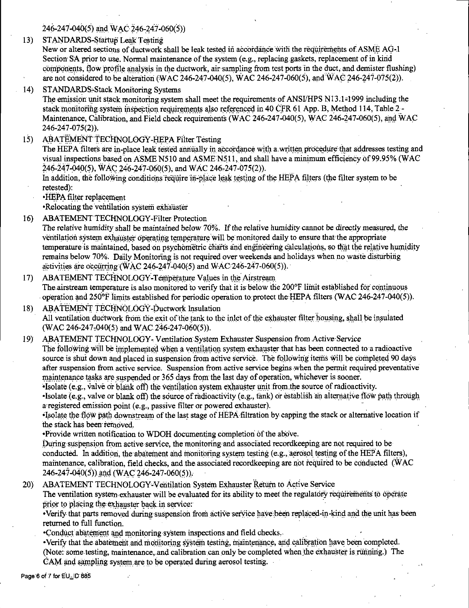246-247-040(5) and WAC 246-247-060(5))

STANDARDS-Startup Leak Testing  $13)$ 

New or altered sections of ductwork shall be leak tested in accordance with the requirements of ASME AG-1 Section SA prior to use. Normal maintenance of the system (e.g., replacing gaskets, replacement of in kind components, flow profile analysis in the ductwork, air sampling from test ports in the duct, and demister flushing) are not considered to be alteration (WAC 246-247-040(5), WAC 246-247-060(5), and WAC 246-247-075(2)).

 $14)$ **STANDARDS-Stack Monitoring Systems** 

The emission unit stack monitoring system shall meet the requirements of ANSI/HPS N13.1-1999 including the stack monitoring system inspection requirements also referenced in 40 CFR 61 App. B. Method 114. Table 2-Maintenance, Calibration, and Field check requirements (WAC 246-247-040(5), WAC 246-247-060(5), and WAC 246-247-075(2)).

ABATEMENT TECHNOLOGY-HEPA Filter Testing  $15)$ 

The HEPA filters are in-place leak tested annually in accordance with a written procedure that addresses testing and visual inspections based on ASME N510 and ASME N511, and shall have a minimum efficiency of 99.95% (WAC 246-247-040(5), WAC 246-247-060(5), and WAC 246-247-075(2)).

In addition, the following conditions require in-place leak testing of the HEPA filters (the filter system to be retested):

**HEPA** filter replacement

•Relocating the ventilation system exhauster

- ABATEMENT TECHNOLOGY-Filter Protection  $16<sup>2</sup>$ The relative humidity shall be maintained below 70%. If the relative humidity cannot be directly measured, the ventilation system exhauster operating temperature will be monitored daily to ensure that the appropriate temperature is maintained, based on psychometric charts and engineering calculations, so that the relative humidity remains below 70%. Daily Monitoring is not required over weekends and holidays when no waste disturbing activities are occurring (WAC 246-247-040(5) and WAC 246-247-060(5)).
- ABATEMENT TECHNOLOGY-Temperature Values in the Airstream  $17)$ The airstream temperature is also monitored to verify that it is below the 200°F limit established for continuous operation and  $250^{\circ}$  limits established for periodic operation to protect the HEPA filters (WAC 246-247-040(5)).
- ABATEMENT TECHNOLOGY-Ductwork Insulation  $18<sub>1</sub>$ All ventilation ductwork from the exit of the tank to the inlet of the exhauster filter housing, shall be insulated (WAC 246-247-040(5) and WAC 246-247-060(5)).
- $19<sub>l</sub>$ ABATEMENT TECHNOLOGY-Ventilation System Exhauster Suspension from Active Service The following will be implemented when a ventilation system exhauster that has been connected to a radioactive source is shut down and placed in suspension from active service. The following items will be completed 90 days after suspension from active service. Suspension from active service begins when the permit required preventative maintenance tasks are suspended or 365 days from the last day of operation, whichever is sooner.

•Isolate (e.g., valve or blank off) the ventilation system exhauster unit from the source of radioactivity. . Isolate  $(e, g,$ , valve or blank off) the source of radioactivity  $(e, g,$ , fank) or establish an alternative flow path through a registered emission point (e.g., passive filter or powered exhauster).

•Isolate the flow path downstream of the last stage of HEPA filtration by capping the stack or alternative location if the stack has been removed.

•Provide written notification to WDOH documenting completion of the above.

During suspension from active service, the monitoring and associated recordkeeping are not required to be conducted. In addition, the abatement and monitoring system testing (e.g., aerosol testing of the HEPA filters), maintenance, calibration, field checks, and the associated recordkeeping are not required to be conducted (WAC 246-247-040(5)) and (WAC 246-247-060(5)).

ABATEMENT TECHNOLOGY-Ventilation System Exhauster Return to Active Service  $20)$ 

The ventilation system exhauster will be evaluated for its ability to meet the regulatory requirements to operate prior to placing the exhauster back in service:

•Verify that parts removed during suspension from active service have been replaced-in-kind and the unit has been returned to full function.

•Conduct abatement and monitoring system inspections and field checks.

·Verify that the abatement and monitoring system testing, maintenance, and calibration have been completed. (Note: some testing, maintenance, and calibration can only be completed when the exhauster is running.) The CAM and sampling system are to be operated during aerosol testing.